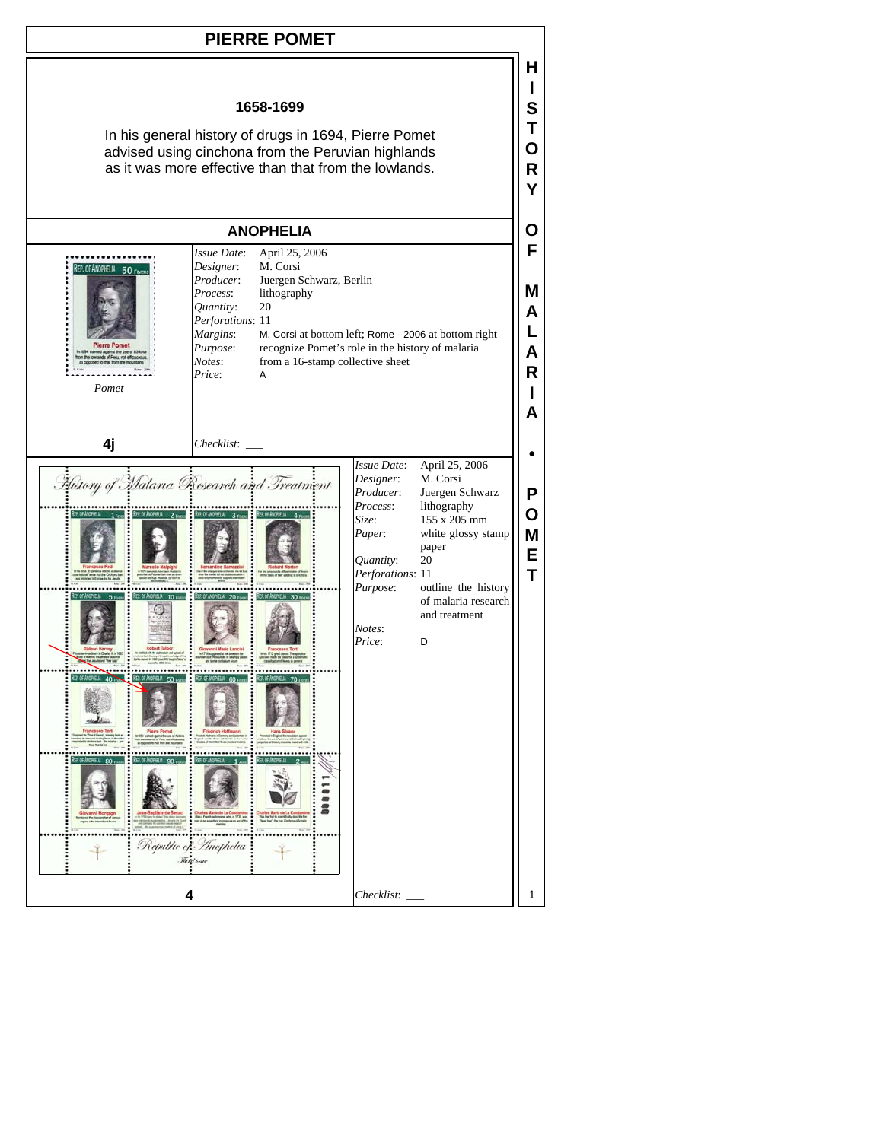